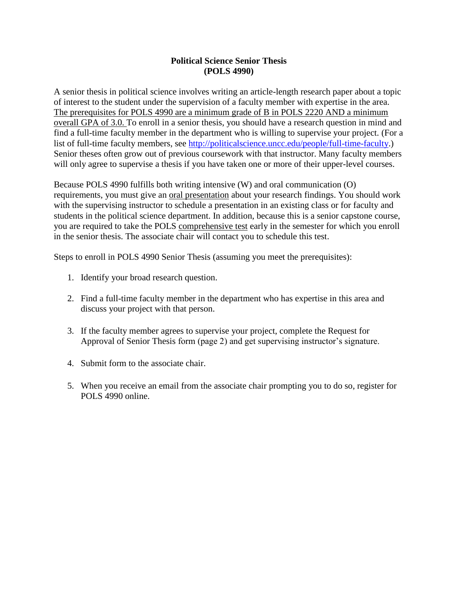## **Political Science Senior Thesis (POLS 4990)**

A senior thesis in political science involves writing an article-length research paper about a topic of interest to the student under the supervision of a faculty member with expertise in the area. The prerequisites for POLS 4990 are a minimum grade of B in POLS 2220 AND a minimum overall GPA of 3.0. To enroll in a senior thesis, you should have a research question in mind and find a full-time faculty member in the department who is willing to supervise your project. (For a list of full-time faculty members, see [http://politicalscience.uncc.edu/people/full-time-faculty.](http://politicalscience.uncc.edu/people/full-time-faculty)) Senior theses often grow out of previous coursework with that instructor. Many faculty members will only agree to supervise a thesis if you have taken one or more of their upper-level courses.

Because POLS 4990 fulfills both writing intensive (W) and oral communication (O) requirements, you must give an oral presentation about your research findings. You should work with the supervising instructor to schedule a presentation in an existing class or for faculty and students in the political science department. In addition, because this is a senior capstone course, you are required to take the POLS comprehensive test early in the semester for which you enroll in the senior thesis. The associate chair will contact you to schedule this test.

Steps to enroll in POLS 4990 Senior Thesis (assuming you meet the prerequisites):

- 1. Identify your broad research question.
- 2. Find a full-time faculty member in the department who has expertise in this area and discuss your project with that person.
- 3. If the faculty member agrees to supervise your project, complete the Request for Approval of Senior Thesis form (page 2) and get supervising instructor's signature.
- 4. Submit form to the associate chair.
- 5. When you receive an email from the associate chair prompting you to do so, register for POLS 4990 online.